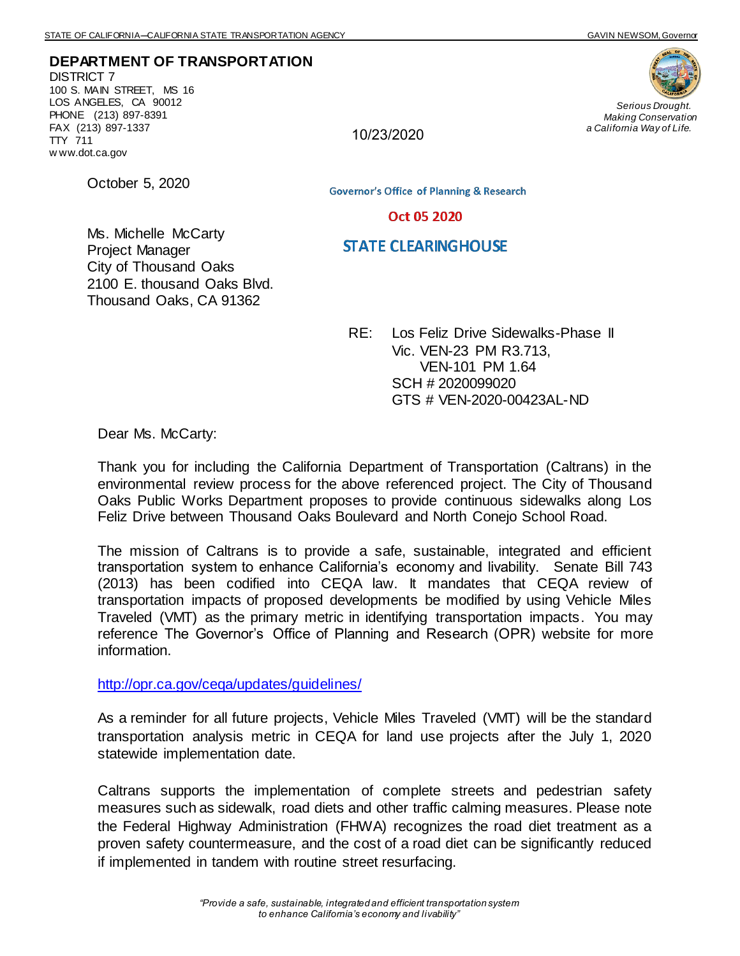**DEPARTMENT OF TRANSPORTATION** DISTRICT 7 100 S. MAIN STREET, MS 16 LOS ANGELES, CA 90012 PHONE (213) 897-8391 FAX (213) 897-1337 TTY 711 w ww.dot.ca.gov



*Serious Drought. Making Conservation a California Way of Life.*

10/23/2020

October 5, 2020

Ms. Michelle McCarty

**Governor's Office of Planning & Research** 

## Oct 05 2020

## **STATE CLEARINGHOUSE**

Project Manager City of Thousand Oaks 2100 E. thousand Oaks Blvd. Thousand Oaks, CA 91362

> RE: Los Feliz Drive Sidewalks-Phase II Vic. VEN-23 PM R3.713, VEN-101 PM 1.64 SCH # 2020099020 GTS # VEN-2020-00423AL-ND

Dear Ms. McCarty:

Thank you for including the California Department of Transportation (Caltrans) in the environmental review process for the above referenced project. The City of Thousand Oaks Public Works Department proposes to provide continuous sidewalks along Los Feliz Drive between Thousand Oaks Boulevard and North Conejo School Road.

The mission of Caltrans is to provide a safe, sustainable, integrated and efficient transportation system to enhance California's economy and livability. Senate Bill 743 (2013) has been codified into CEQA law. It mandates that CEQA review of transportation impacts of proposed developments be modified by using Vehicle Miles Traveled (VMT) as the primary metric in identifying transportation impacts. You may reference The Governor's Office of Planning and Research (OPR) website for more information.

<http://opr.ca.gov/ceqa/updates/guidelines/>

As a reminder for all future projects, Vehicle Miles Traveled (VMT) will be the standard transportation analysis metric in CEQA for land use projects after the July 1, 2020 statewide implementation date.

Caltrans supports the implementation of complete streets and pedestrian safety measures such as sidewalk, road diets and other traffic calming measures. Please note the Federal Highway Administration (FHWA) recognizes the road diet treatment as a proven safety countermeasure, and the cost of a road diet can be significantly reduced if implemented in tandem with routine street resurfacing.